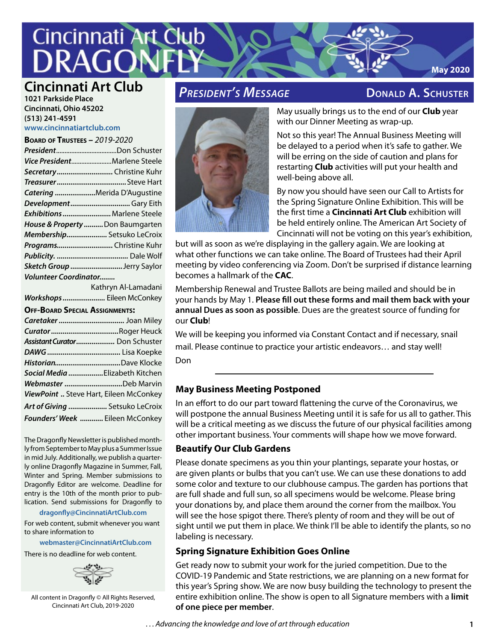# **Cincinnati Art Club** DRA

# **Cincinnati Art Club**

**1021 Parkside Place Cincinnati, Ohio 45202 (513) 241-4591 www.cincinnatiartclub.com**

**Board of Trustees –** *2019-2020*

|                              | $2010$ $-11031$ $-2012$ $-2020$  |
|------------------------------|----------------------------------|
|                              |                                  |
|                              | Vice PresidentMarlene Steele     |
|                              | Secretary Christine Kuhr         |
|                              |                                  |
|                              | Catering Merida D'Augustine      |
|                              | DevelopmentGary Eith             |
|                              | Exhibitions  Marlene Steele      |
|                              | House & Property  Don Baumgarten |
|                              | Membership Setsuko LeCroix       |
|                              | ProgramsChristine Kuhr           |
|                              |                                  |
|                              | Sketch Group Jerry Saylor        |
| <b>Volunteer Coordinator</b> |                                  |
|                              |                                  |

Kathryn Al-Lamadani *Workshops......................* Eileen McConkey

#### **Off-Board Special Assignments:**

| Assistant Curator Don Schuster         |  |
|----------------------------------------|--|
|                                        |  |
|                                        |  |
| Social Media  Elizabeth Kitchen        |  |
| Webmaster Deb Marvin                   |  |
| ViewPoint  Steve Hart, Eileen McConkey |  |
| Art of Giving  Setsuko LeCroix         |  |
| Founders' Week  Eileen McConkey        |  |

The Dragonfly Newsletter is published monthly from September to May plus a Summer Issue in mid July. Additionally, we publish a quarterly online Dragonfly Magazine in Summer, Fall, Winter and Spring. Member submissions to Dragonfly Editor are welcome. Deadline for entry is the 10th of the month prior to publication. Send submissions for Dragonfly to

#### **[dragonfly@CincinnatiArtClub.com](mailto:dragonfly@CincinnatiArtClub.com)**

For web content, submit whenever you want to share information to

#### **[webmaster@CincinnatiArtClub.com](mailto:webmaster@CincinnatiArtClub.com)**

There is no deadline for web content.



All content in Dragonfly © All Rights Reserved, Cincinnati Art Club, 2019-2020

# *President's Message* **Donald A. Schuster**

**May 2020**



May usually brings us to the end of our **Club** year with our Dinner Meeting as wrap-up.

Not so this year! The Annual Business Meeting will be delayed to a period when it's safe to gather. We will be erring on the side of caution and plans for restarting **Club** activities will put your health and well-being above all.

By now you should have seen our Call to Artists for the Spring Signature Online Exhibition. This will be the first time a **Cincinnati Art Club** exhibition will be held entirely online. The American Art Society of Cincinnati will not be voting on this year's exhibition,

but will as soon as we're displaying in the gallery again. We are looking at what other functions we can take online. The Board of Trustees had their April meeting by video conferencing via Zoom. Don't be surprised if distance learning becomes a hallmark of the **CAC**.

Membership Renewal and Trustee Ballots are being mailed and should be in your hands by May 1. **Please fill out these forms and mail them back with your annual Dues as soon as possible**. Dues are the greatest source of funding for our **Club**!

We will be keeping you informed via Constant Contact and if necessary, snail mail. Please continue to practice your artistic endeavors… and stay well!

Don

#### **May Business Meeting Postponed**

In an effort to do our part toward flattening the curve of the Coronavirus, we will postpone the annual Business Meeting until it is safe for us all to gather. This will be a critical meeting as we discuss the future of our physical facilities among other important business. Your comments will shape how we move forward.

#### **Beautify Our Club Gardens**

Please donate specimens as you thin your plantings, separate your hostas, or are given plants or bulbs that you can't use. We can use these donations to add some color and texture to our clubhouse campus. The garden has portions that are full shade and full sun, so all specimens would be welcome. Please bring your donations by, and place them around the corner from the mailbox. You will see the hose spigot there. There's plenty of room and they will be out of sight until we put them in place. We think I'll be able to identify the plants, so no labeling is necessary.

#### **Spring Signature Exhibition Goes Online**

Get ready now to submit your work for the juried competition. Due to the COVID-19 Pandemic and State restrictions, we are planning on a new format for this year's Spring show. We are now busy building the technology to present the entire exhibition online. The show is open to all Signature members with a **limit of one piece per member**.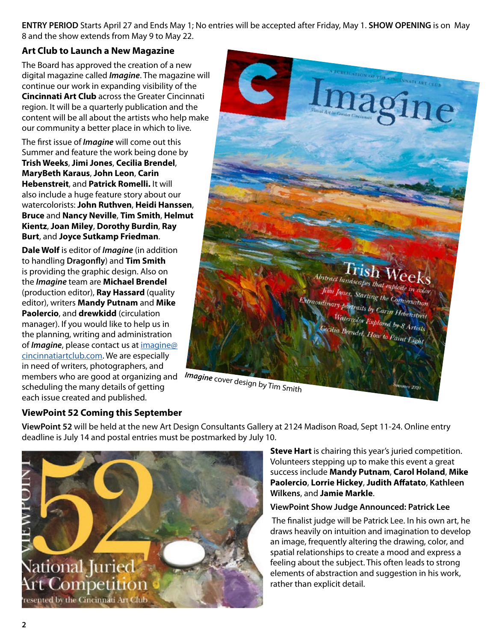**ENTRY PERIOD** Starts April 27 and Ends May 1; No entries will be accepted after Friday, May 1. **SHOW OPENING** is on May 8 and the show extends from May 9 to May 22.

#### **Art Club to Launch a New Magazine**

The Board has approved the creation of a new digital magazine called *Imagine*. The magazine will continue our work in expanding visibility of the **Cincinnati Art Club** across the Greater Cincinnati region. It will be a quarterly publication and the content will be all about the artists who help make our community a better place in which to live.

The first issue of *Imagine* will come out this Summer and feature the work being done by **Trish Weeks**, **Jimi Jones**, **Cecilia Brendel**, **MaryBeth Karaus**, **John Leon**, **Carin Hebenstreit**, and **Patrick Romelli.** It will also include a huge feature story about our watercolorists: **John Ruthven**, **Heidi Hanssen**, **Bruce** and **Nancy Neville**, **Tim Smith**, **Helmut Kientz**, **Joan Miley**, **Dorothy Burdin**, **Ray Burt**, and **Joyce Sutkamp Friedman**.

**Dale Wolf** is editor of *Imagine* (in addition to handling **Dragonfly**) and **Tim Smith** is providing the graphic design. Also on the *Imagine* team are **Michael Brendel**  (production editor), **Ray Hassard** (quality editor), writers **Mandy Putnam** and **Mike Paolercio**, and **drewkidd** (circulation manager). If you would like to help us in the planning, writing and administration of *Imagine*, please contact us at imagine@ cincinnatiartclub.com. We are especially in need of writers, photographers, and members who are good at organizing and scheduling the many details of getting *Imagine* cover design by Tim Smith each issue created and published.



#### **ViewPoint 52 Coming this September**

**ViewPoint 52** will be held at the new Art Design Consultants Gallery at 2124 Madison Road, Sept 11-24. Online entry deadline is July 14 and postal entries must be postmarked by July 10.



**Steve Hart** is chairing this year's juried competition. Volunteers stepping up to make this event a great success include **Mandy Putnam**, **Carol Holand**, **Mike Paolercio**, **Lorrie Hickey**, **Judith Affatato**, **Kathleen Wilkens**, and **Jamie Markle**.

#### **ViewPoint Show Judge Announced: Patrick Lee**

 The finalist judge will be Patrick Lee. In his own art, he draws heavily on intuition and imagination to develop an image, frequently altering the drawing, color, and spatial relationships to create a mood and express a feeling about the subject. This often leads to strong elements of abstraction and suggestion in his work, rather than explicit detail.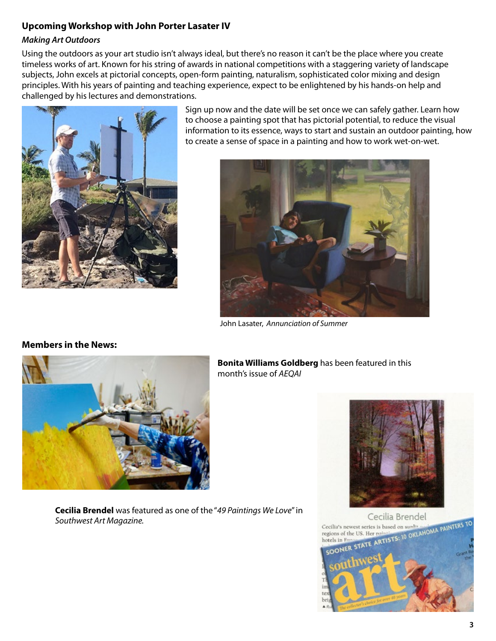#### **Upcoming Workshop with John Porter Lasater IV**

#### *Making Art Outdoors*

Using the outdoors as your art studio isn't always ideal, but there's no reason it can't be the place where you create timeless works of art. Known for his string of awards in national competitions with a staggering variety of landscape subjects, John excels at pictorial concepts, open-form painting, naturalism, sophisticated color mixing and design principles. With his years of painting and teaching experience, expect to be enlightened by his hands-on help and challenged by his lectures and demonstrations.



Sign up now and the date will be set once we can safely gather. Learn how to choose a painting spot that has pictorial potential, to reduce the visual information to its essence, ways to start and sustain an outdoor painting, how to create a sense of space in a painting and how to work wet-on-wet.



John Lasater, *Annunciation of Summer*



**Bonita Williams Goldberg** has been featured in this month's issue of *AEQAI*

**Cecilia Brendel** was featured as one of the "*49 Paintings We Love*" in *Southwest Art Magazine.*





## **Members in the News:**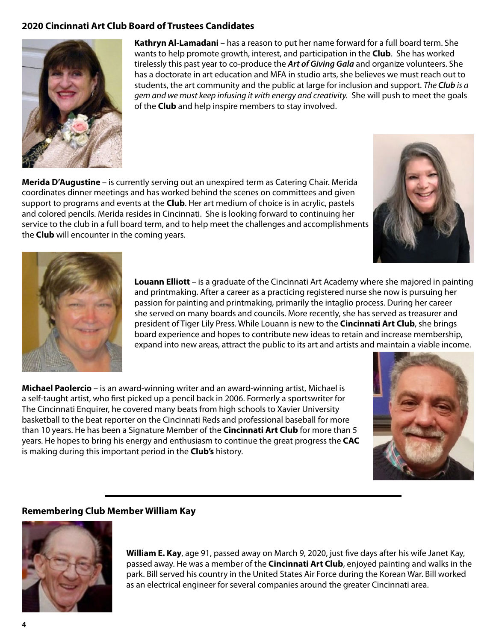#### **2020 Cincinnati Art Club Board of Trustees Candidates**



**Kathryn Al-Lamadani** – has a reason to put her name forward for a full board term. She wants to help promote growth, interest, and participation in the **Club**. She has worked tirelessly this past year to co-produce the *Art of Giving Gala* and organize volunteers. She has a doctorate in art education and MFA in studio arts, she believes we must reach out to students, the art community and the public at large for inclusion and support. *The Club is a gem and we must keep infusing it with energy and creativity.* She will push to meet the goals of the **Club** and help inspire members to stay involved.

**Merida D'Augustine** – is currently serving out an unexpired term as Catering Chair. Merida coordinates dinner meetings and has worked behind the scenes on committees and given support to programs and events at the **Club**. Her art medium of choice is in acrylic, pastels and colored pencils. Merida resides in Cincinnati. She is looking forward to continuing her service to the club in a full board term, and to help meet the challenges and accomplishments the **Club** will encounter in the coming years.





**Louann Elliott** – is a graduate of the Cincinnati Art Academy where she majored in painting and printmaking. After a career as a practicing registered nurse she now is pursuing her passion for painting and printmaking, primarily the intaglio process. During her career she served on many boards and councils. More recently, she has served as treasurer and president of Tiger Lily Press. While Louann is new to the **Cincinnati Art Club**, she brings board experience and hopes to contribute new ideas to retain and increase membership, expand into new areas, attract the public to its art and artists and maintain a viable income.

**Michael Paolercio** – is an award-winning writer and an award-winning artist, Michael is a self-taught artist, who first picked up a pencil back in 2006. Formerly a sportswriter for The Cincinnati Enquirer, he covered many beats from high schools to Xavier University basketball to the beat reporter on the Cincinnati Reds and professional baseball for more than 10 years. He has been a Signature Member of the **Cincinnati Art Club** for more than 5 years. He hopes to bring his energy and enthusiasm to continue the great progress the **CAC** is making during this important period in the **Club's** history.



#### **Remembering Club Member William Kay**



**William E. Kay**, age 91, passed away on March 9, 2020, just five days after his wife Janet Kay, passed away. He was a member of the **Cincinnati Art Club**, enjoyed painting and walks in the park. Bill served his country in the United States Air Force during the Korean War. Bill worked as an electrical engineer for several companies around the greater Cincinnati area.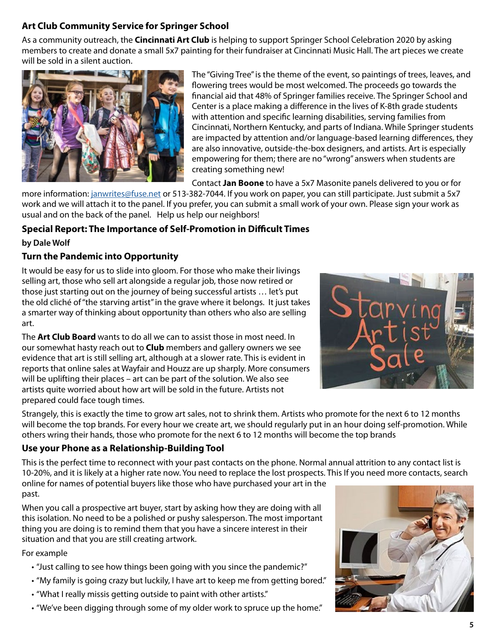### **Art Club Community Service for Springer School**

As a community outreach, the **Cincinnati Art Club** is helping to support Springer School Celebration 2020 by asking members to create and donate a small 5x7 painting for their fundraiser at Cincinnati Music Hall. The art pieces we create will be sold in a silent auction.



The "Giving Tree" is the theme of the event, so paintings of trees, leaves, and flowering trees would be most welcomed. The proceeds go towards the financial aid that 48% of Springer families receive. The Springer School and Center is a place making a difference in the lives of K-8th grade students with attention and specific learning disabilities, serving families from Cincinnati, Northern Kentucky, and parts of Indiana. While Springer students are impacted by attention and/or language-based learning differences, they are also innovative, outside-the-box designers, and artists. Art is especially empowering for them; there are no "wrong" answers when students are creating something new!

Contact **Jan Boone** to have a 5x7 Masonite panels delivered to you or for

more information: janwrites@fuse.net or 513-382-7044. If you work on paper, you can still participate. Just submit a 5x7 work and we will attach it to the panel. If you prefer, you can submit a small work of your own. Please sign your work as usual and on the back of the panel. Help us help our neighbors!

#### **Special Report: The Importance of Self-Promotion in Difficult Times by Dale Wolf**

#### **Turn the Pandemic into Opportunity**

It would be easy for us to slide into gloom. For those who make their livings selling art, those who sell art alongside a regular job, those now retired or those just starting out on the journey of being successful artists … let's put the old cliché of "the starving artist" in the grave where it belongs. It just takes a smarter way of thinking about opportunity than others who also are selling art.

The **Art Club Board** wants to do all we can to assist those in most need. In our somewhat hasty reach out to **Club** members and gallery owners we see evidence that art is still selling art, although at a slower rate. This is evident in reports that online sales at Wayfair and Houzz are up sharply. More consumers will be uplifting their places – art can be part of the solution. We also see artists quite worried about how art will be sold in the future. Artists not prepared could face tough times.



Strangely, this is exactly the time to grow art sales, not to shrink them. Artists who promote for the next 6 to 12 months will become the top brands. For every hour we create art, we should regularly put in an hour doing self-promotion. While others wring their hands, those who promote for the next 6 to 12 months will become the top brands

#### **Use your Phone as a Relationship-Building Tool**

This is the perfect time to reconnect with your past contacts on the phone. Normal annual attrition to any contact list is 10-20%, and it is likely at a higher rate now. You need to replace the lost prospects. This If you need more contacts, search

online for names of potential buyers like those who have purchased your art in the past.

When you call a prospective art buyer, start by asking how they are doing with all this isolation. No need to be a polished or pushy salesperson. The most important thing you are doing is to remind them that you have a sincere interest in their situation and that you are still creating artwork.

For example

- "Just calling to see how things been going with you since the pandemic?"
- "My family is going crazy but luckily, I have art to keep me from getting bored."
- "What I really missis getting outside to paint with other artists."
- "We've been digging through some of my older work to spruce up the home."

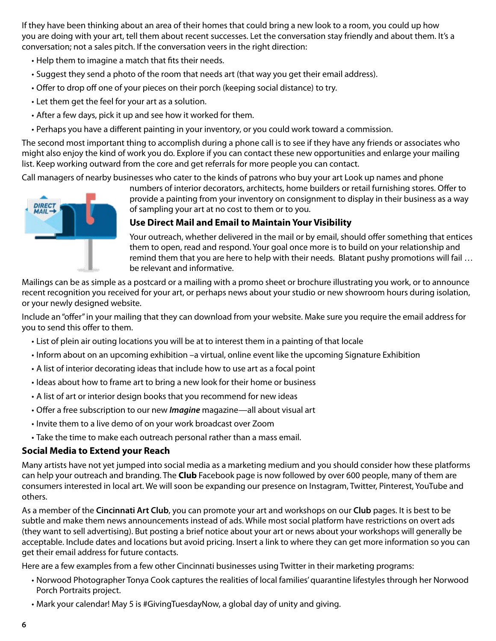If they have been thinking about an area of their homes that could bring a new look to a room, you could up how you are doing with your art, tell them about recent successes. Let the conversation stay friendly and about them. It's a conversation; not a sales pitch. If the conversation veers in the right direction:

- Help them to imagine a match that fits their needs.
- Suggest they send a photo of the room that needs art (that way you get their email address).
- Offer to drop off one of your pieces on their porch (keeping social distance) to try.
- Let them get the feel for your art as a solution.
- After a few days, pick it up and see how it worked for them.
- Perhaps you have a different painting in your inventory, or you could work toward a commission.

The second most important thing to accomplish during a phone call is to see if they have any friends or associates who might also enjoy the kind of work you do. Explore if you can contact these new opportunities and enlarge your mailing list. Keep working outward from the core and get referrals for more people you can contact.

Call managers of nearby businesses who cater to the kinds of patrons who buy your art Look up names and phone



numbers of interior decorators, architects, home builders or retail furnishing stores. Offer to provide a painting from your inventory on consignment to display in their business as a way of sampling your art at no cost to them or to you.

#### **Use Direct Mail and Email to Maintain Your Visibility**

Your outreach, whether delivered in the mail or by email, should offer something that entices them to open, read and respond. Your goal once more is to build on your relationship and remind them that you are here to help with their needs. Blatant pushy promotions will fail … be relevant and informative.

Mailings can be as simple as a postcard or a mailing with a promo sheet or brochure illustrating you work, or to announce recent recognition you received for your art, or perhaps news about your studio or new showroom hours during isolation, or your newly designed website.

Include an "offer" in your mailing that they can download from your website. Make sure you require the email address for you to send this offer to them.

- List of plein air outing locations you will be at to interest them in a painting of that locale
- Inform about on an upcoming exhibition –a virtual, online event like the upcoming Signature Exhibition
- A list of interior decorating ideas that include how to use art as a focal point
- Ideas about how to frame art to bring a new look for their home or business
- A list of art or interior design books that you recommend for new ideas
- Offer a free subscription to our new *Imagine* magazine—all about visual art
- Invite them to a live demo of on your work broadcast over Zoom
- Take the time to make each outreach personal rather than a mass email.

#### **Social Media to Extend your Reach**

Many artists have not yet jumped into social media as a marketing medium and you should consider how these platforms can help your outreach and branding. The **Club** Facebook page is now followed by over 600 people, many of them are consumers interested in local art. We will soon be expanding our presence on Instagram, Twitter, Pinterest, YouTube and others.

As a member of the **Cincinnati Art Club**, you can promote your art and workshops on our **Club** pages. It is best to be subtle and make them news announcements instead of ads. While most social platform have restrictions on overt ads (they want to sell advertising). But posting a brief notice about your art or news about your workshops will generally be acceptable. Include dates and locations but avoid pricing. Insert a link to where they can get more information so you can get their email address for future contacts.

Here are a few examples from a few other Cincinnati businesses using Twitter in their marketing programs:

- Norwood Photographer Tonya Cook captures the realities of local families' quarantine lifestyles through her Norwood Porch Portraits project.
- Mark your calendar! May 5 is #GivingTuesdayNow, a global day of unity and giving.